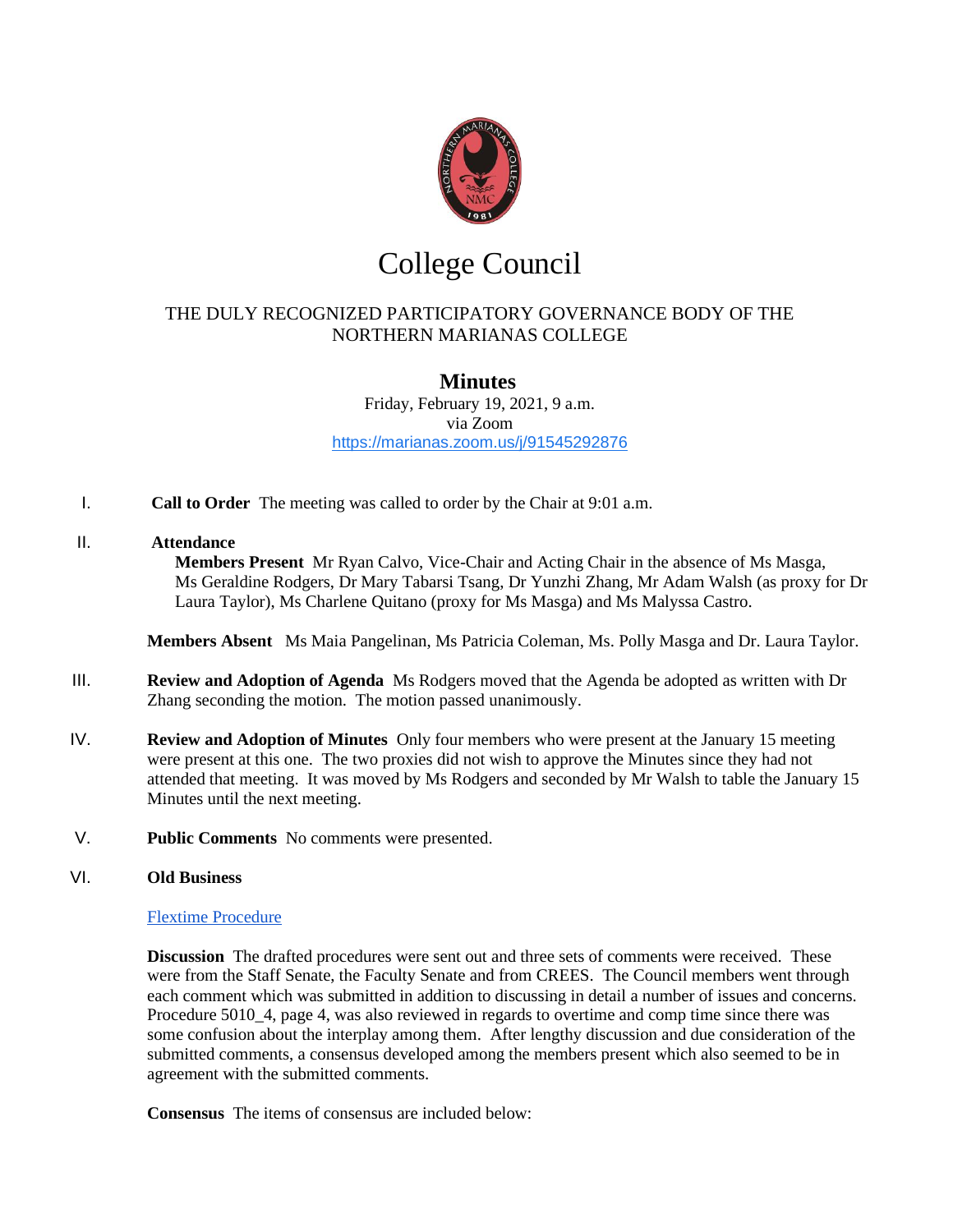

# College Council

### THE DULY RECOGNIZED PARTICIPATORY GOVERNANCE BODY OF THE NORTHERN MARIANAS COLLEGE

## **Minutes**

Friday, February 19, 2021, 9 a.m. via Zoom <https://marianas.zoom.us/j/91545292876>

I. **Call to Order** The meeting was called to order by the Chair at 9:01 a.m.

#### II. **Attendance**

**Members Present** Mr Ryan Calvo, Vice-Chair and Acting Chair in the absence of Ms Masga, Ms Geraldine Rodgers, Dr Mary Tabarsi Tsang, Dr Yunzhi Zhang, Mr Adam Walsh (as proxy for Dr Laura Taylor), Ms Charlene Quitano (proxy for Ms Masga) and Ms Malyssa Castro.

**Members Absent** Ms Maia Pangelinan, Ms Patricia Coleman, Ms. Polly Masga and Dr. Laura Taylor.

- III. **Review and Adoption of Agenda** Ms Rodgers moved that the Agenda be adopted as written with Dr Zhang seconding the motion. The motion passed unanimously.
- IV. **Review and Adoption of Minutes** Only four members who were present at the January 15 meeting were present at this one. The two proxies did not wish to approve the Minutes since they had not attended that meeting. It was moved by Ms Rodgers and seconded by Mr Walsh to table the January 15 Minutes until the next meeting.
- V. **Public Comments** No comments were presented.

#### VI. **Old Business**

#### [Flextime Procedure](https://drive.google.com/file/d/1hvlVN7c4ttBZySreeXKKq3gYm2rpGFw2/view?usp=sharing)

**Discussion** The drafted procedures were sent out and three sets of comments were received. These were from the Staff Senate, the Faculty Senate and from CREES. The Council members went through each comment which was submitted in addition to discussing in detail a number of issues and concerns. Procedure 5010\_4, page 4, was also reviewed in regards to overtime and comp time since there was some confusion about the interplay among them. After lengthy discussion and due consideration of the submitted comments, a consensus developed among the members present which also seemed to be in agreement with the submitted comments.

**Consensus** The items of consensus are included below: